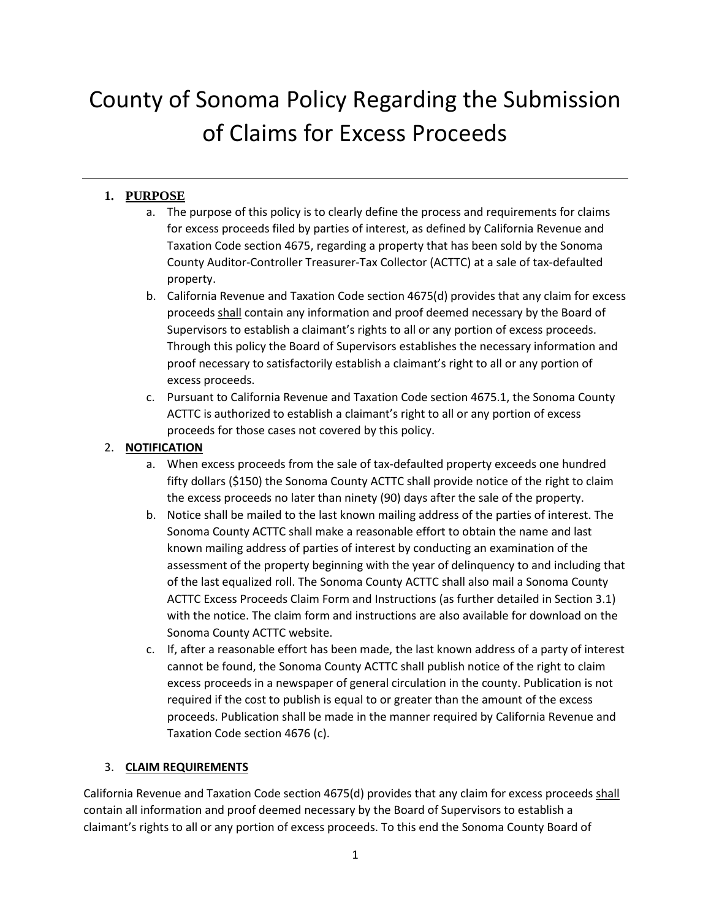# County of Sonoma Policy Regarding the Submission of Claims for Excess Proceeds

# **1. PURPOSE**

- a. The purpose of this policy is to clearly define the process and requirements for claims for excess proceeds filed by parties of interest, as defined by California Revenue and Taxation Code section 4675, regarding a property that has been sold by the Sonoma County Auditor-Controller Treasurer-Tax Collector (ACTTC) at a sale of tax-defaulted property.
- b. California Revenue and Taxation Code section 4675(d) provides that any claim for excess proceeds shall contain any information and proof deemed necessary by the Board of Supervisors to establish a claimant's rights to all or any portion of excess proceeds. Through this policy the Board of Supervisors establishes the necessary information and proof necessary to satisfactorily establish a claimant's right to all or any portion of excess proceeds.
- c. Pursuant to California Revenue and Taxation Code section 4675.1, the Sonoma County ACTTC is authorized to establish a claimant's right to all or any portion of excess proceeds for those cases not covered by this policy.

## 2. **NOTIFICATION**

- a. When excess proceeds from the sale of tax-defaulted property exceeds one hundred fifty dollars (\$150) the Sonoma County ACTTC shall provide notice of the right to claim the excess proceeds no later than ninety (90) days after the sale of the property.
- b. Notice shall be mailed to the last known mailing address of the parties of interest. The Sonoma County ACTTC shall make a reasonable effort to obtain the name and last known mailing address of parties of interest by conducting an examination of the assessment of the property beginning with the year of delinquency to and including that of the last equalized roll. The Sonoma County ACTTC shall also mail a Sonoma County ACTTC Excess Proceeds Claim Form and Instructions (as further detailed in Section 3.1) with the notice. The claim form and instructions are also available for download on the Sonoma County ACTTC website.
- c. If, after a reasonable effort has been made, the last known address of a party of interest cannot be found, the Sonoma County ACTTC shall publish notice of the right to claim excess proceeds in a newspaper of general circulation in the county. Publication is not required if the cost to publish is equal to or greater than the amount of the excess proceeds. Publication shall be made in the manner required by California Revenue and Taxation Code section 4676 (c).

## 3. **CLAIM REQUIREMENTS**

California Revenue and Taxation Code section 4675(d) provides that any claim for excess proceeds shall contain all information and proof deemed necessary by the Board of Supervisors to establish a claimant's rights to all or any portion of excess proceeds. To this end the Sonoma County Board of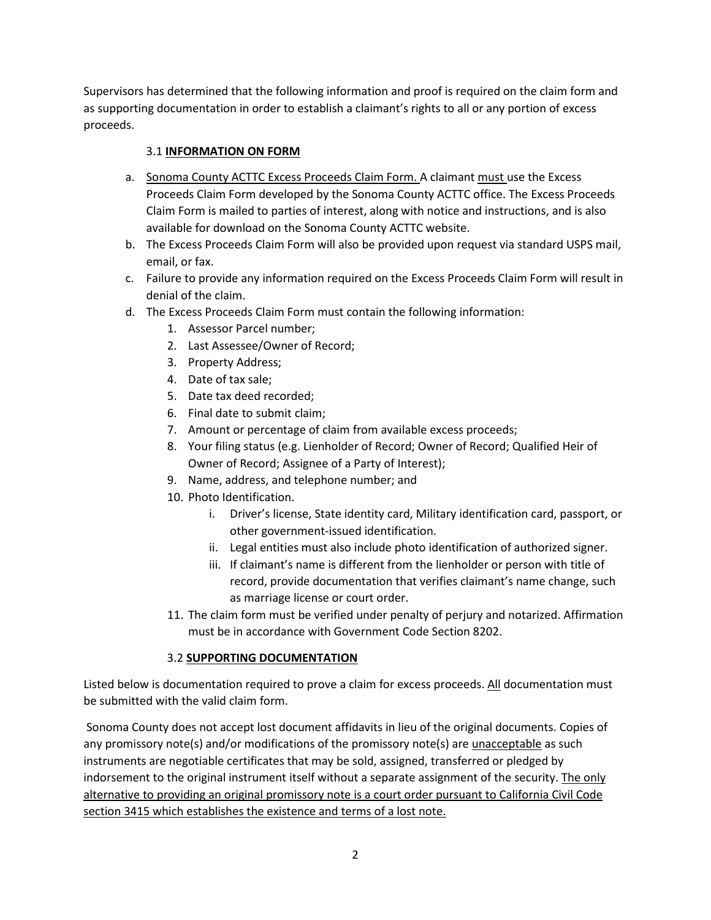Supervisors has determined that the following information and proof is required on the claim form and as supporting documentation in order to establish a claimant's rights to all or any portion of excess proceeds.

#### 3.1 **INFORMATION ON FORM**

- a. Sonoma County ACTTC Excess Proceeds Claim Form. A claimant must use the Excess Proceeds Claim Form developed by the Sonoma County ACTTC office. The Excess Proceeds Claim Form is mailed to parties of interest, along with notice and instructions, and is also available for download on the Sonoma County ACTTC website.
- b. The Excess Proceeds Claim Form will also be provided upon request via standard USPS mail, email, or fax.
- c. Failure to provide any information required on the Excess Proceeds Claim Form will result in denial of the claim.
- d. The Excess Proceeds Claim Form must contain the following information:
	- 1. Assessor Parcel number;
	- 2. Last Assessee/Owner of Record;
	- 3. Property Address;
	- 4. Date of tax sale;
	- 5. Date tax deed recorded;
	- 6. Final date to submit claim;
	- 7. Amount or percentage of claim from available excess proceeds;
	- 8. Your filing status (e.g. Lienholder of Record; Owner of Record; Qualified Heir of Owner of Record; Assignee of a Party of Interest);
	- 9. Name, address, and telephone number; and
	- 10. Photo Identification.
		- i. Driver's license, State identity card, Military identification card, passport, or other government-issued identification.
		- ii. Legal entities must also include photo identification of authorized signer.
		- iii. If claimant's name is different from the lienholder or person with title of record, provide documentation that verifies claimant's name change, such as marriage license or court order.
	- 11. The claim form must be verified under penalty of perjury and notarized. Affirmation must be in accordance with Government Code Section 8202.

#### 3.2 **SUPPORTING DOCUMENTATION**

Listed below is documentation required to prove a claim for excess proceeds. All documentation must be submitted with the valid claim form.

Sonoma County does not accept lost document affidavits in lieu of the original documents. Copies of any promissory note(s) and/or modifications of the promissory note(s) are unacceptable as such instruments are negotiable certificates that may be sold, assigned, transferred or pledged by indorsement to the original instrument itself without a separate assignment of the security. The only alternative to providing an original promissory note is a court order pursuant to California Civil Code section 3415 which establishes the existence and terms of a lost note.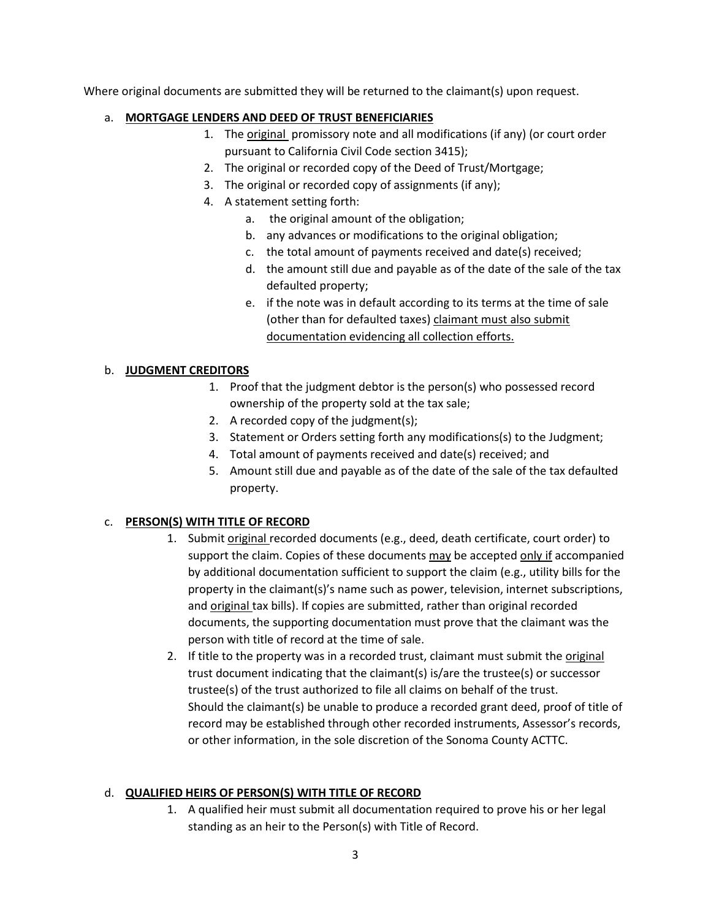Where original documents are submitted they will be returned to the claimant(s) upon request.

#### a. **MORTGAGE LENDERS AND DEED OF TRUST BENEFICIARIES**

- 1. The original promissory note and all modifications (if any) (or court order pursuant to California Civil Code section 3415);
- 2. The original or recorded copy of the Deed of Trust/Mortgage;
- 3. The original or recorded copy of assignments (if any);
- 4. A statement setting forth:
	- a. the original amount of the obligation;
	- b. any advances or modifications to the original obligation;
	- c. the total amount of payments received and date(s) received;
	- d. the amount still due and payable as of the date of the sale of the tax defaulted property;
	- e. if the note was in default according to its terms at the time of sale (other than for defaulted taxes) claimant must also submit documentation evidencing all collection efforts.

#### b. **JUDGMENT CREDITORS**

- 1. Proof that the judgment debtor is the person(s) who possessed record ownership of the property sold at the tax sale;
- 2. A recorded copy of the judgment(s);
- 3. Statement or Orders setting forth any modifications(s) to the Judgment;
- 4. Total amount of payments received and date(s) received; and
- 5. Amount still due and payable as of the date of the sale of the tax defaulted property.

## c. **PERSON(S) WITH TITLE OF RECORD**

- 1. Submit original recorded documents (e.g., deed, death certificate, court order) to support the claim. Copies of these documents may be accepted only if accompanied by additional documentation sufficient to support the claim (e.g., utility bills for the property in the claimant(s)'s name such as power, television, internet subscriptions, and original tax bills). If copies are submitted, rather than original recorded documents, the supporting documentation must prove that the claimant was the person with title of record at the time of sale.
- 2. If title to the property was in a recorded trust, claimant must submit the original trust document indicating that the claimant(s) is/are the trustee(s) or successor trustee(s) of the trust authorized to file all claims on behalf of the trust. Should the claimant(s) be unable to produce a recorded grant deed, proof of title of record may be established through other recorded instruments, Assessor's records, or other information, in the sole discretion of the Sonoma County ACTTC.

## d. **QUALIFIED HEIRS OF PERSON(S) WITH TITLE OF RECORD**

1. A qualified heir must submit all documentation required to prove his or her legal standing as an heir to the Person(s) with Title of Record.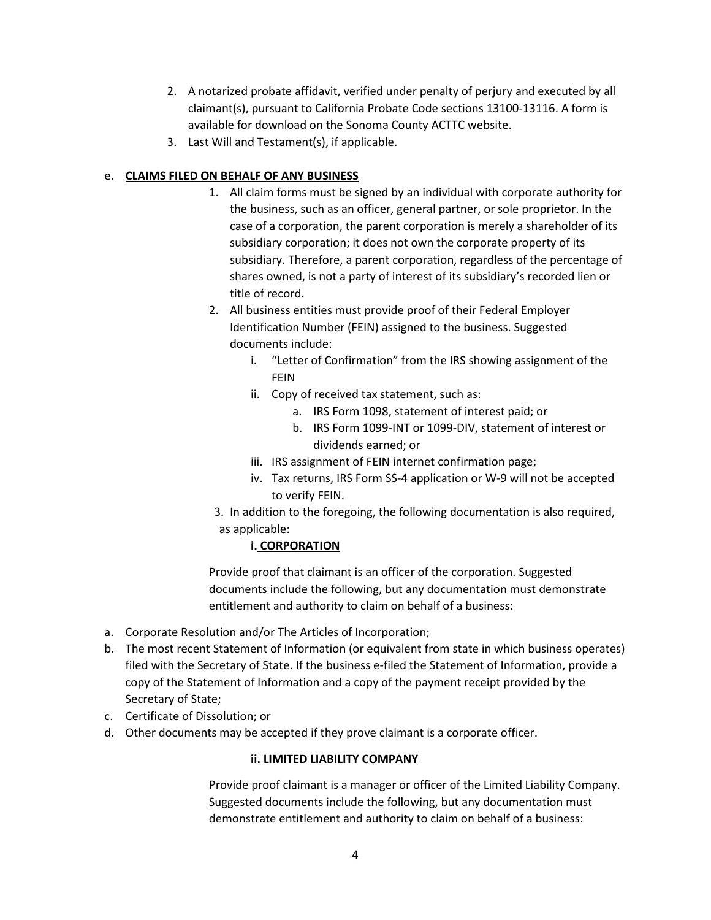- 2. A notarized probate affidavit, verified under penalty of perjury and executed by all claimant(s), pursuant to California Probate Code sections 13100-13116. A form is available for download on the Sonoma County ACTTC website.
- 3. Last Will and Testament(s), if applicable.

## e. **CLAIMS FILED ON BEHALF OF ANY BUSINESS**

- 1. All claim forms must be signed by an individual with corporate authority for the business, such as an officer, general partner, or sole proprietor. In the case of a corporation, the parent corporation is merely a shareholder of its subsidiary corporation; it does not own the corporate property of its subsidiary. Therefore, a parent corporation, regardless of the percentage of shares owned, is not a party of interest of its subsidiary's recorded lien or title of record.
- 2. All business entities must provide proof of their Federal Employer Identification Number (FEIN) assigned to the business. Suggested documents include:
	- i. "Letter of Confirmation" from the IRS showing assignment of the FEIN
	- ii. Copy of received tax statement, such as:
		- a. IRS Form 1098, statement of interest paid; or
		- b. IRS Form 1099-INT or 1099-DIV, statement of interest or dividends earned; or
	- iii. IRS assignment of FEIN internet confirmation page;
	- iv. Tax returns, IRS Form SS-4 application or W-9 will not be accepted to verify FEIN.
- 3. In addition to the foregoing, the following documentation is also required, as applicable:

## **i. CORPORATION**

Provide proof that claimant is an officer of the corporation. Suggested documents include the following, but any documentation must demonstrate entitlement and authority to claim on behalf of a business:

- a. Corporate Resolution and/or The Articles of Incorporation;
- b. The most recent Statement of Information (or equivalent from state in which business operates) filed with the Secretary of State. If the business e-filed the Statement of Information, provide a copy of the Statement of Information and a copy of the payment receipt provided by the Secretary of State;
- c. Certificate of Dissolution; or
- d. Other documents may be accepted if they prove claimant is a corporate officer.

## **ii. LIMITED LIABILITY COMPANY**

Provide proof claimant is a manager or officer of the Limited Liability Company. Suggested documents include the following, but any documentation must demonstrate entitlement and authority to claim on behalf of a business: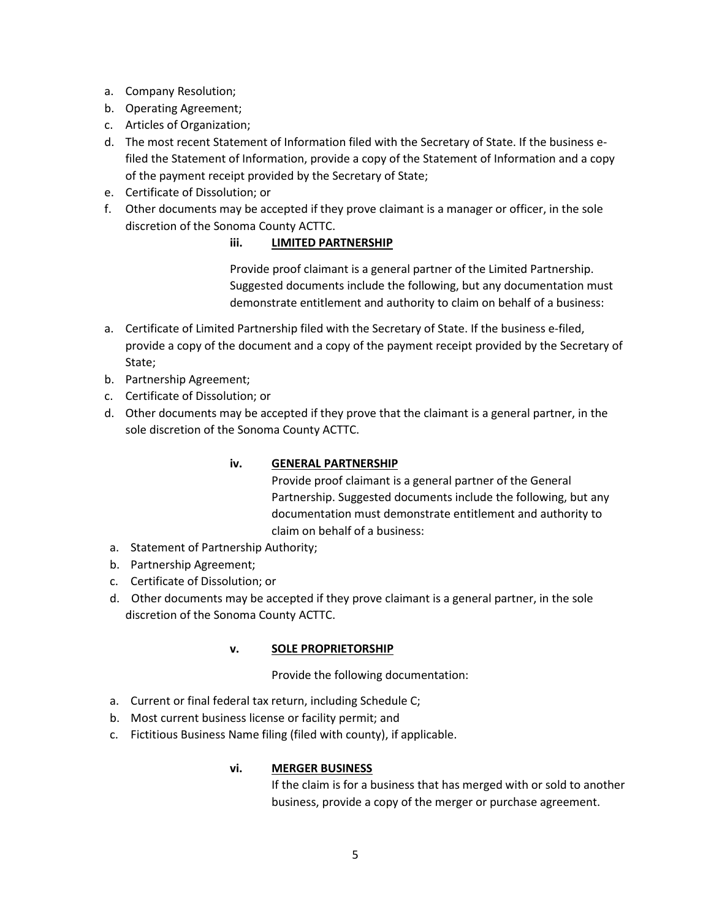- a. Company Resolution;
- b. Operating Agreement;
- c. Articles of Organization;
- d. The most recent Statement of Information filed with the Secretary of State. If the business efiled the Statement of Information, provide a copy of the Statement of Information and a copy of the payment receipt provided by the Secretary of State;
- e. Certificate of Dissolution; or
- f. Other documents may be accepted if they prove claimant is a manager or officer, in the sole discretion of the Sonoma County ACTTC.

#### **iii. LIMITED PARTNERSHIP**

Provide proof claimant is a general partner of the Limited Partnership. Suggested documents include the following, but any documentation must demonstrate entitlement and authority to claim on behalf of a business:

- a. Certificate of Limited Partnership filed with the Secretary of State. If the business e-filed, provide a copy of the document and a copy of the payment receipt provided by the Secretary of State;
- b. Partnership Agreement;
- c. Certificate of Dissolution; or
- d. Other documents may be accepted if they prove that the claimant is a general partner, in the sole discretion of the Sonoma County ACTTC.

## **iv. GENERAL PARTNERSHIP**

Provide proof claimant is a general partner of the General Partnership. Suggested documents include the following, but any documentation must demonstrate entitlement and authority to claim on behalf of a business:

- a. Statement of Partnership Authority;
- b. Partnership Agreement;
- c. Certificate of Dissolution; or
- d. Other documents may be accepted if they prove claimant is a general partner, in the sole discretion of the Sonoma County ACTTC.

#### **v. SOLE PROPRIETORSHIP**

Provide the following documentation:

- a. Current or final federal tax return, including Schedule C;
- b. Most current business license or facility permit; and
- c. Fictitious Business Name filing (filed with county), if applicable.

#### **vi. MERGER BUSINESS**

If the claim is for a business that has merged with or sold to another business, provide a copy of the merger or purchase agreement.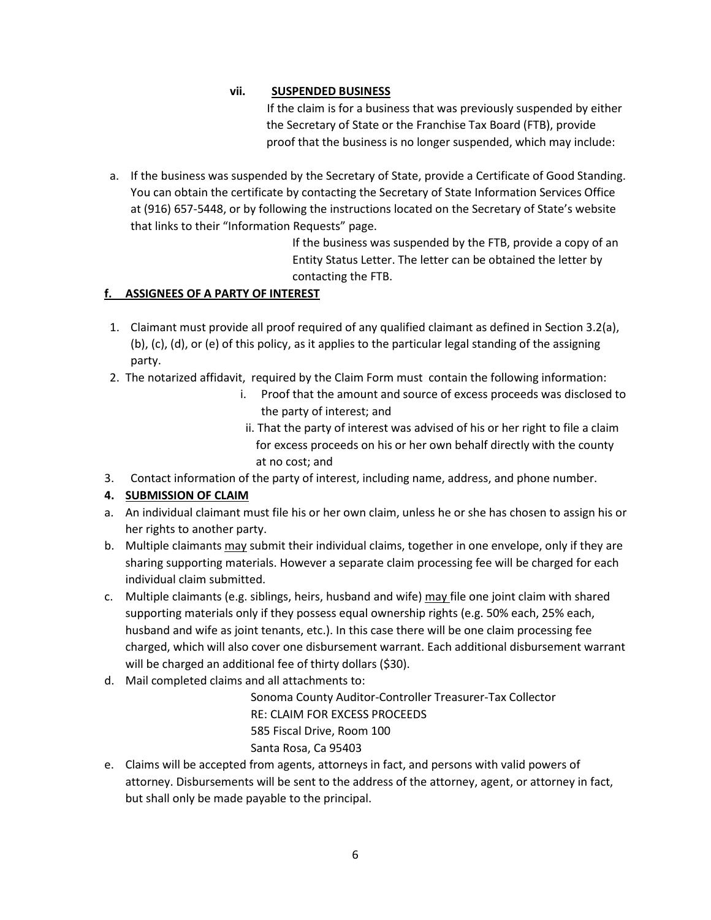## **vii. SUSPENDED BUSINESS**

 If the claim is for a business that was previously suspended by either the Secretary of State or the Franchise Tax Board (FTB), provide proof that the business is no longer suspended, which may include:

a. If the business was suspended by the Secretary of State, provide a Certificate of Good Standing. You can obtain the certificate by contacting the Secretary of State Information Services Office at (916) 657-5448, or by following the instructions located on the Secretary of State's website that links to their "Information Requests" page.

> If the business was suspended by the FTB, provide a copy of an Entity Status Letter. The letter can be obtained the letter by contacting the FTB.

## **f. ASSIGNEES OF A PARTY OF INTEREST**

- 1. Claimant must provide all proof required of any qualified claimant as defined in Section 3.2(a), (b), (c), (d), or (e) of this policy, as it applies to the particular legal standing of the assigning party.
- 2. The notarized affidavit, required by the Claim Form must contain the following information:
	- i. Proof that the amount and source of excess proceeds was disclosed to the party of interest; and
	- ii. That the party of interest was advised of his or her right to file a claim for excess proceeds on his or her own behalf directly with the county at no cost; and
- 3. Contact information of the party of interest, including name, address, and phone number.

## **4. SUBMISSION OF CLAIM**

- a. An individual claimant must file his or her own claim, unless he or she has chosen to assign his or her rights to another party.
- b. Multiple claimants may submit their individual claims, together in one envelope, only if they are sharing supporting materials. However a separate claim processing fee will be charged for each individual claim submitted.
- c. Multiple claimants (e.g. siblings, heirs, husband and wife) may file one joint claim with shared supporting materials only if they possess equal ownership rights (e.g. 50% each, 25% each, husband and wife as joint tenants, etc.). In this case there will be one claim processing fee charged, which will also cover one disbursement warrant. Each additional disbursement warrant will be charged an additional fee of thirty dollars (\$30).
- d. Mail completed claims and all attachments to:

Sonoma County Auditor-Controller Treasurer-Tax Collector RE: CLAIM FOR EXCESS PROCEEDS 585 Fiscal Drive, Room 100 Santa Rosa, Ca 95403

e. Claims will be accepted from agents, attorneys in fact, and persons with valid powers of attorney. Disbursements will be sent to the address of the attorney, agent, or attorney in fact, but shall only be made payable to the principal.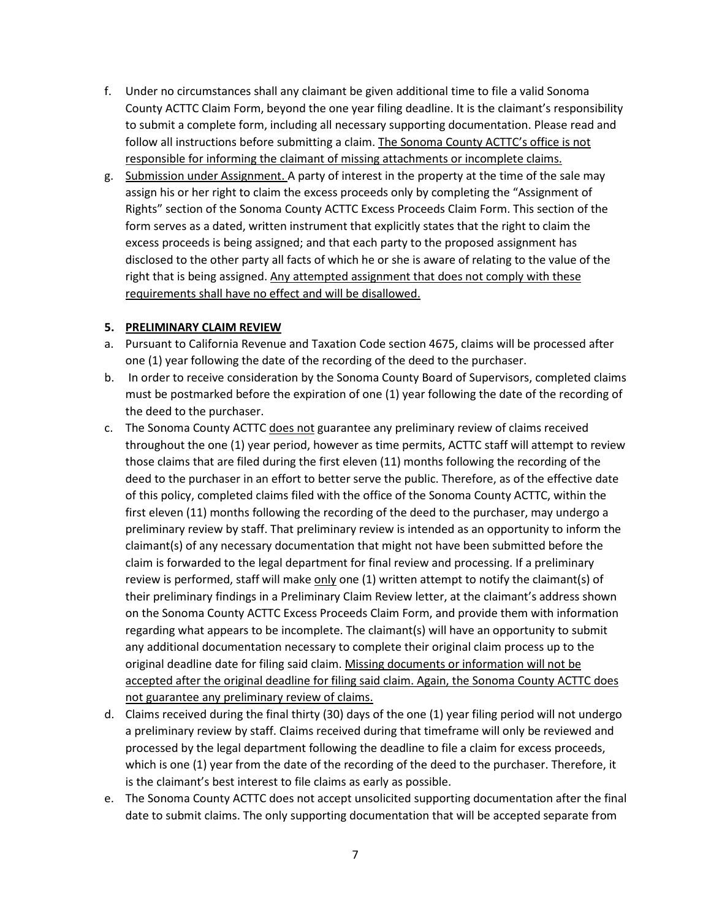- f. Under no circumstances shall any claimant be given additional time to file a valid Sonoma County ACTTC Claim Form, beyond the one year filing deadline. It is the claimant's responsibility to submit a complete form, including all necessary supporting documentation. Please read and follow all instructions before submitting a claim. The Sonoma County ACTTC's office is not responsible for informing the claimant of missing attachments or incomplete claims.
- g. Submission under Assignment. A party of interest in the property at the time of the sale may assign his or her right to claim the excess proceeds only by completing the "Assignment of Rights" section of the Sonoma County ACTTC Excess Proceeds Claim Form. This section of the form serves as a dated, written instrument that explicitly states that the right to claim the excess proceeds is being assigned; and that each party to the proposed assignment has disclosed to the other party all facts of which he or she is aware of relating to the value of the right that is being assigned. Any attempted assignment that does not comply with these requirements shall have no effect and will be disallowed.

#### **5. PRELIMINARY CLAIM REVIEW**

- a. Pursuant to California Revenue and Taxation Code section 4675, claims will be processed after one (1) year following the date of the recording of the deed to the purchaser.
- b. In order to receive consideration by the Sonoma County Board of Supervisors, completed claims must be postmarked before the expiration of one (1) year following the date of the recording of the deed to the purchaser.
- c. The Sonoma County ACTTC does not guarantee any preliminary review of claims received throughout the one (1) year period, however as time permits, ACTTC staff will attempt to review those claims that are filed during the first eleven (11) months following the recording of the deed to the purchaser in an effort to better serve the public. Therefore, as of the effective date of this policy, completed claims filed with the office of the Sonoma County ACTTC, within the first eleven (11) months following the recording of the deed to the purchaser, may undergo a preliminary review by staff. That preliminary review is intended as an opportunity to inform the claimant(s) of any necessary documentation that might not have been submitted before the claim is forwarded to the legal department for final review and processing. If a preliminary review is performed, staff will make  $only$  one (1) written attempt to notify the claimant(s) of</u> their preliminary findings in a Preliminary Claim Review letter, at the claimant's address shown on the Sonoma County ACTTC Excess Proceeds Claim Form, and provide them with information regarding what appears to be incomplete. The claimant(s) will have an opportunity to submit any additional documentation necessary to complete their original claim process up to the original deadline date for filing said claim. Missing documents or information will not be accepted after the original deadline for filing said claim. Again, the Sonoma County ACTTC does not guarantee any preliminary review of claims.
- d. Claims received during the final thirty (30) days of the one (1) year filing period will not undergo a preliminary review by staff. Claims received during that timeframe will only be reviewed and processed by the legal department following the deadline to file a claim for excess proceeds, which is one (1) year from the date of the recording of the deed to the purchaser. Therefore, it is the claimant's best interest to file claims as early as possible.
- e. The Sonoma County ACTTC does not accept unsolicited supporting documentation after the final date to submit claims. The only supporting documentation that will be accepted separate from